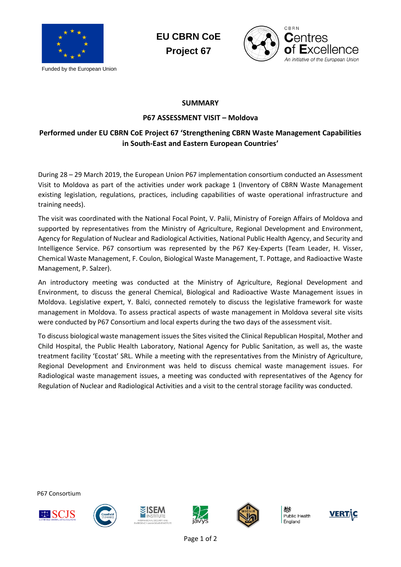

Funded by the European Union





## **SUMMARY**

## **P67 ASSESSMENT VISIT – Moldova**

## **Performed under EU CBRN CoE Project 67 'Strengthening CBRN Waste Management Capabilities in South-East and Eastern European Countries'**

During 28 – 29 March 2019, the European Union P67 implementation consortium conducted an Assessment Visit to Moldova as part of the activities under work package 1 (Inventory of CBRN Waste Management existing legislation, regulations, practices, including capabilities of waste operational infrastructure and training needs).

The visit was coordinated with the National Focal Point, V. Palii, Ministry of Foreign Affairs of Moldova and supported by representatives from the Ministry of Agriculture, Regional Development and Environment, Agency for Regulation of Nuclear and Radiological Activities, National Public Health Agency, and Security and Intelligence Service. P67 consortium was represented by the P67 Key-Experts (Team Leader, H. Visser, Chemical Waste Management, F. Coulon, Biological Waste Management, T. Pottage, and Radioactive Waste Management, P. Salzer).

An introductory meeting was conducted at the Ministry of Agriculture, Regional Development and Environment, to discuss the general Chemical, Biological and Radioactive Waste Management issues in Moldova. Legislative expert, Y. Balci, connected remotely to discuss the legislative framework for waste management in Moldova. To assess practical aspects of waste management in Moldova several site visits were conducted by P67 Consortium and local experts during the two days of the assessment visit.

To discuss biological waste management issues the Sites visited the Clinical Republican Hospital, Mother and Child Hospital, the Public Health Laboratory, National Agency for Public Sanitation, as well as, the waste treatment facility 'Ecostat' SRL. While a meeting with the representatives from the Ministry of Agriculture, Regional Development and Environment was held to discuss chemical waste management issues. For Radiological waste management issues, a meeting was conducted with representatives of the Agency for Regulation of Nuclear and Radiological Activities and a visit to the central storage facility was conducted.

P67 Consortium











Public Health England